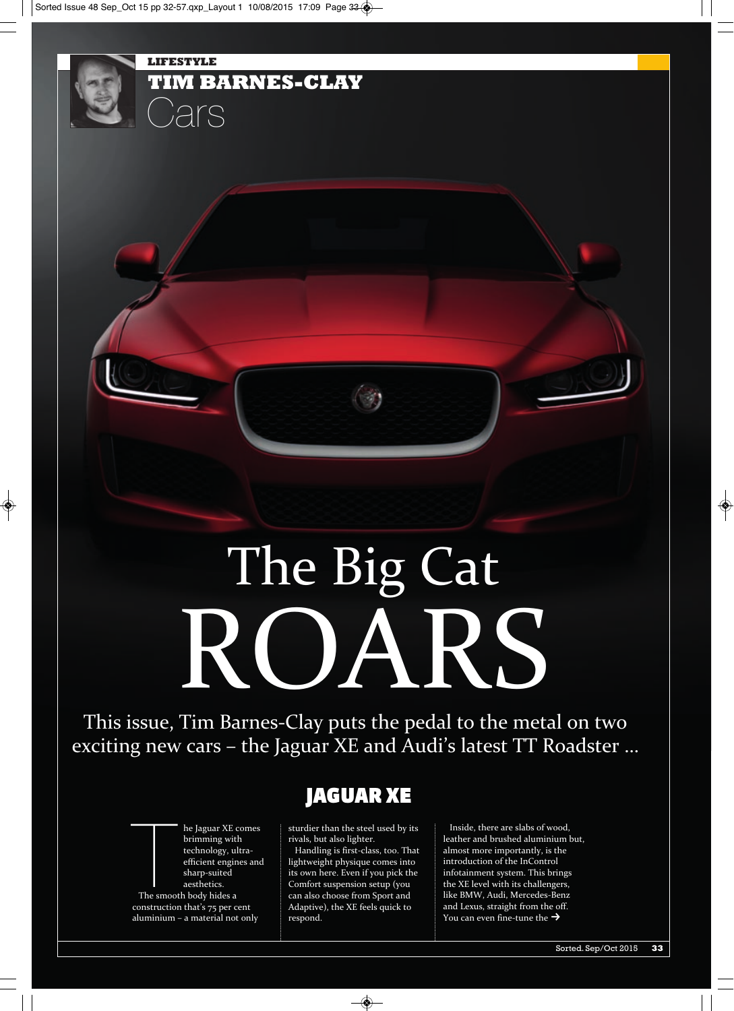

This issue, Tim Barnes-Clay puts the pedal to the metal on two exciting new cars – the Jaguar XE and Audi's latest TT Roadster …



**TIM BARNES-CLAY**

Cars

**LIFESTYLE**

# **JAGUAR XE**

sturdier than the steel used by its rivals, but also lighter.

Handling is first-class, too. That lightweight physique comes into its own here. Even if you pick the Comfort suspension setup (you can also choose from Sport and Adaptive), the XE feels quick to respond.

Inside, there are slabs of wood, leather and brushed aluminium but, almost more importantly, is the introduction of the InControl infotainment system. This brings the XE level with its challengers, like BMW, Audi, Mercedes-Benz and Lexus, straight from the off. You can even fine-tune the  $\rightarrow$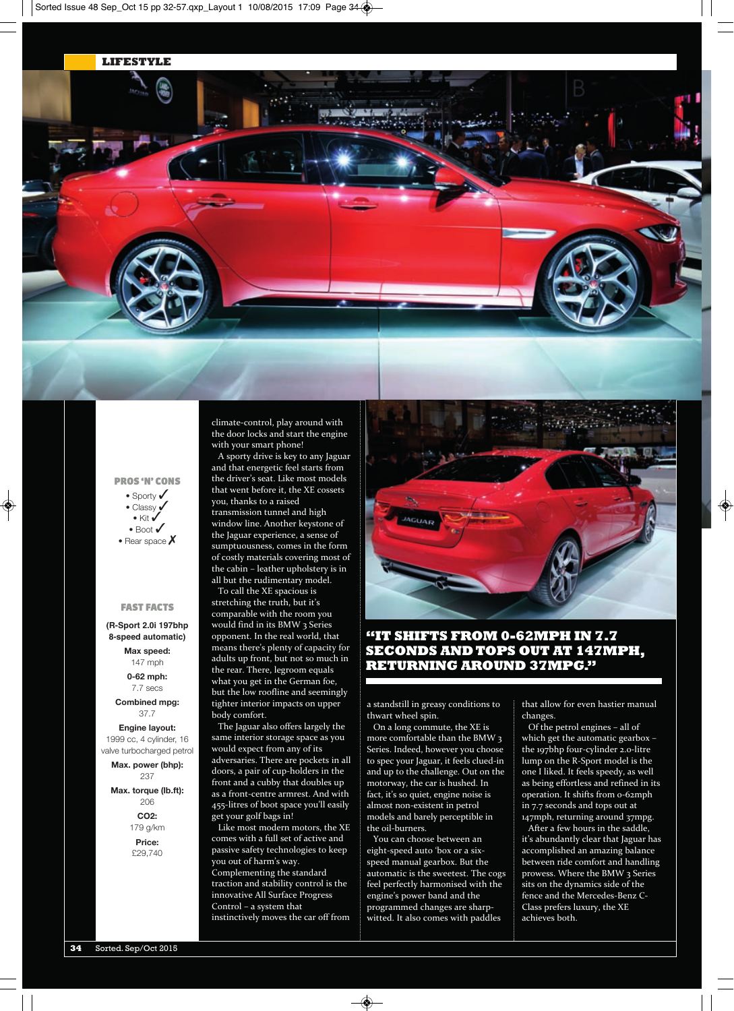**LIFESTYLE**



climate-control, play around with

### **PROS 'N' CONS**

• Sporty  $\checkmark$ • Classy  $\checkmark$  $\bullet$  Kit  $\checkmark$ • Boot  $\checkmark$ • Rear space  $\boldsymbol{X}$ 

#### **FAST FACTS**

**(R-Sport 2.0i 197bhp 8-speed automatic)**

> **Max speed:** 147 mph

**0-62 mph:** 7.7 secs

**Combined mpg:** 37.7

**Engine layout:** 1999 cc, 4 cylinder, 16 valve turbocharged petrol

**Max. power (bhp):** 237

**Max. torque (lb.ft):** 206 **CO2:**

> 179 g/km **Price:** £29,740

the door locks and start the engine with your smart phone!

A sporty drive is key to any Jaguar and that energetic feel starts from the driver's seat. Like most models that went before it, the XE cossets you, thanks to a raised transmission tunnel and high window line. Another keystone of the Jaguar experience, a sense of sumptuousness, comes in the form of costly materials covering most of the cabin – leather upholstery is in all but the rudimentary model. To call the XE spacious is

stretching the truth, but it's comparable with the room you would find in its BMW 3 Series opponent. In the real world, that means there's plenty of capacity for adults up front, but not so much in the rear. There, legroom equals what you get in the German foe, but the low roofline and seemingly tighter interior impacts on upper body comfort.

The Jaguar also offers largely the same interior storage space as you would expect from any of its adversaries. There are pockets in all doors, a pair of cup-holders in the front and a cubby that doubles up as a front-centre armrest. And with 455-litres of boot space you'll easily get your golf bags in!

Like most modern motors, the XE comes with a full set of active and passive safety technologies to keep you out of harm's way. Complementing the standard traction and stability control is the innovative All surface Progress Control – a system that instinctively moves the car off from



### **"IT SHIFTS FROM 0-62MPH IN 7.7 SECONDS AND TOPS OUT AT 147MPH, RETURNING AROUND 37MPG."**

a standstill in greasy conditions to thwart wheel spin.

on a long commute, the XE is more comfortable than the BMW 3 series. Indeed, however you choose to spec your Jaguar, it feels clued-in and up to the challenge. Out on the motorway, the car is hushed. In fact, it's so quiet, engine noise is almost non-existent in petrol models and barely perceptible in the oil-burners.

You can choose between an eight-speed auto 'box or a sixspeed manual gearbox. But the automatic is the sweetest. The cogs feel perfectly harmonised with the engine's power band and the programmed changes are sharpwitted. It also comes with paddles

that allow for even hastier manual changes.

of the petrol engines – all of which get the automatic gearbox – the 197bhp four-cylinder 2.0-litre lump on the R-sport model is the one I liked. It feels speedy, as well as being effortless and refined in its operation. It shifts from 0-62mph in 7.7 seconds and tops out at 147mph, returning around 37mpg.

After a few hours in the saddle, it's abundantly clear that Jaguar has accomplished an amazing balance between ride comfort and handling prowess. Where the BMW 3 Series sits on the dynamics side of the fence and the Mercedes-Benz C-Class prefers luxury, the XE achieves both.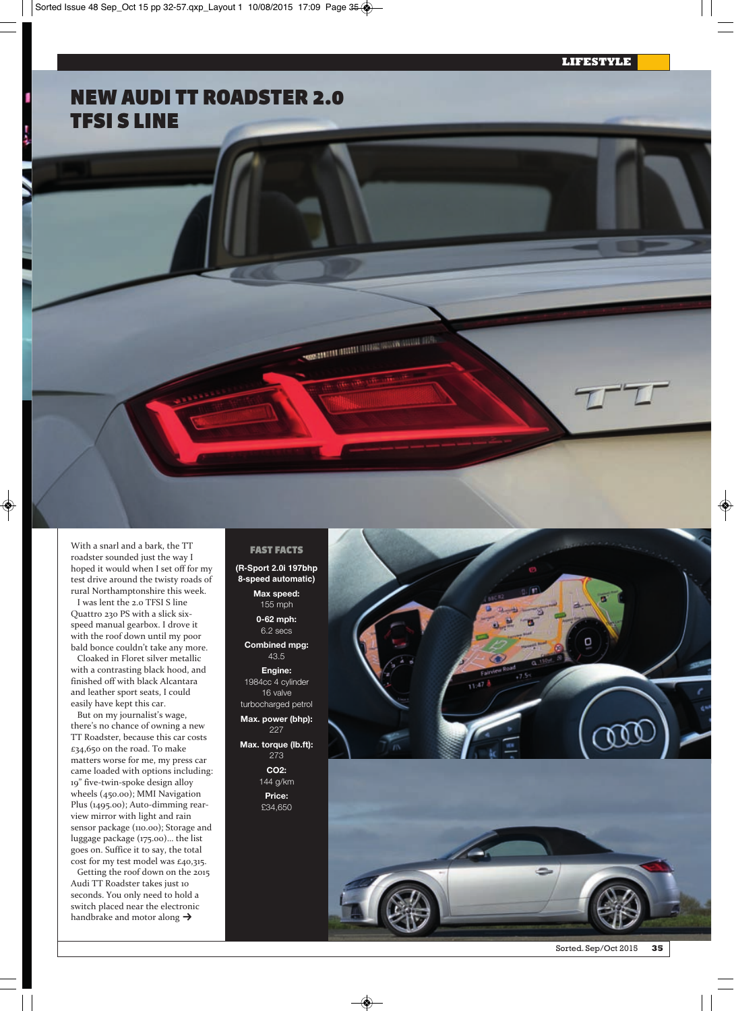# **NEW AUDI TT ROADSTER 2.0 TFSI S LINE**

With a snarl and a bark, the TT roadster sounded just the way I hoped it would when I set off for my test drive around the twisty roads of rural Northamptonshire this week.

I was lent the 2.0 TFSI S line Quattro 230 Ps with a slick sixspeed manual gearbox. I drove it with the roof down until my poor bald bonce couldn't take any more.

Cloaked in Floret silver metallic with a contrasting black hood, and finished off with black Alcantara and leather sport seats, I could easily have kept this car.

But on my journalist's wage, there's no chance of owning a new TT Roadster, because this car costs £34,650 on the road. To make matters worse for me, my press car came loaded with options including: 19" five-twin-spoke design alloy wheels (450.00); MMI Navigation Plus (1495.00); Auto-dimming rearview mirror with light and rain sensor package (110.00); Storage and luggage package (175.00)… the list goes on. suffice it to say, the total cost for my test model was £40,315.

Getting the roof down on the 2015 Audi TT Roadster takes just 10 seconds. You only need to hold a switch placed near the electronic handbrake and motor along  $\blacktriangleright$ 

#### **FAST FACTS**

**SECURITY IN THE REPORT OF REAL PROPERTY** 

- **(R-Sport 2.0i 197bhp 8-speed automatic)**
	- **Max speed:** 155 mph **0-62 mph:** 6.2 secs

**Combined mpg:** 43.5

**Engine:** 1984cc 4 cylinder 16 valve turbocharged petrol **Max. power (bhp):** 227

**Max. torque (lb.ft):** 273

> **CO2:** 144 g/km **Price:** £34,650